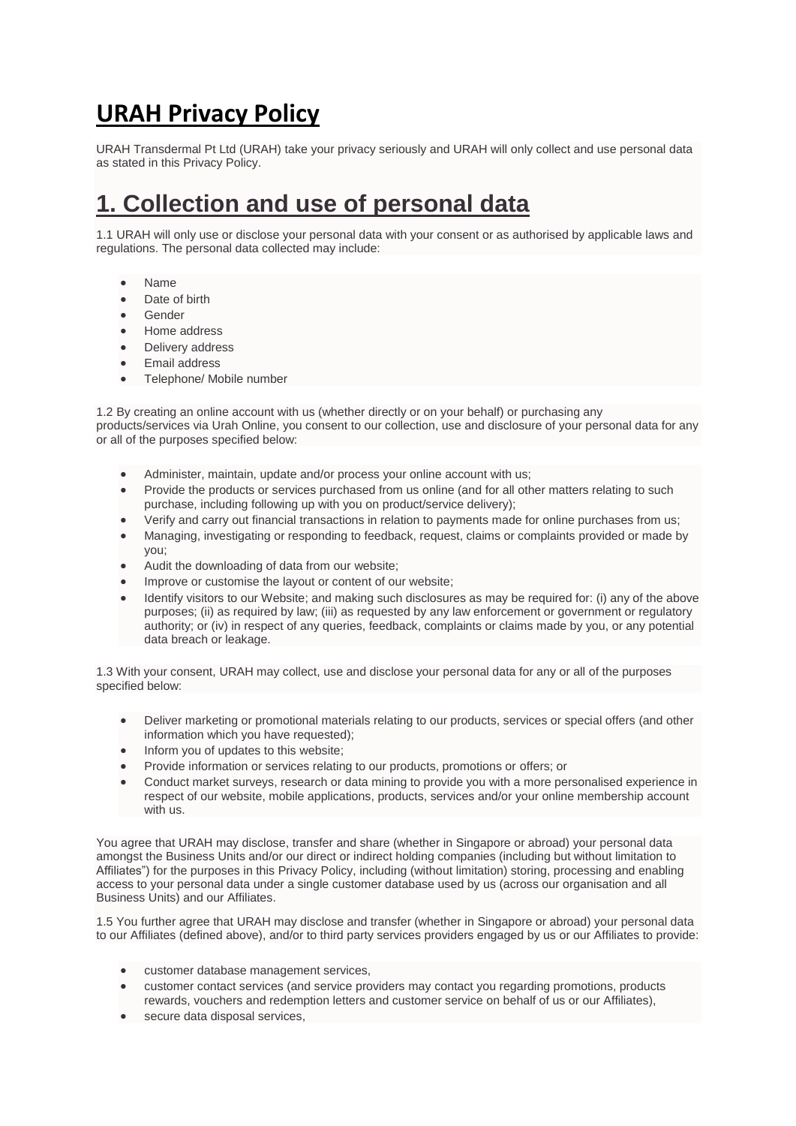## **URAH Privacy Policy**

URAH Transdermal Pt Ltd (URAH) take your privacy seriously and URAH will only collect and use personal data as stated in this Privacy Policy.

### **1. Collection and use of personal data**

1.1 URAH will only use or disclose your personal data with your consent or as authorised by applicable laws and regulations. The personal data collected may include:

- Name
- Date of birth
- Gender
- Home address
- Delivery address
- **Email address**
- Telephone/ Mobile number

1.2 By creating an online account with us (whether directly or on your behalf) or purchasing any products/services via Urah Online, you consent to our collection, use and disclosure of your personal data for any or all of the purposes specified below:

- Administer, maintain, update and/or process your online account with us;
- Provide the products or services purchased from us online (and for all other matters relating to such purchase, including following up with you on product/service delivery);
- Verify and carry out financial transactions in relation to payments made for online purchases from us;
- Managing, investigating or responding to feedback, request, claims or complaints provided or made by you;
- Audit the downloading of data from our website;
- Improve or customise the layout or content of our website;
- Identify visitors to our Website; and making such disclosures as may be required for: (i) any of the above purposes; (ii) as required by law; (iii) as requested by any law enforcement or government or regulatory authority; or (iv) in respect of any queries, feedback, complaints or claims made by you, or any potential data breach or leakage.

1.3 With your consent, URAH may collect, use and disclose your personal data for any or all of the purposes specified below:

- Deliver marketing or promotional materials relating to our products, services or special offers (and other information which you have requested);
- Inform you of updates to this website;
- Provide information or services relating to our products, promotions or offers; or
- Conduct market surveys, research or data mining to provide you with a more personalised experience in respect of our website, mobile applications, products, services and/or your online membership account with us.

You agree that URAH may disclose, transfer and share (whether in Singapore or abroad) your personal data amongst the Business Units and/or our direct or indirect holding companies (including but without limitation to Affiliates") for the purposes in this Privacy Policy, including (without limitation) storing, processing and enabling access to your personal data under a single customer database used by us (across our organisation and all Business Units) and our Affiliates.

1.5 You further agree that URAH may disclose and transfer (whether in Singapore or abroad) your personal data to our Affiliates (defined above), and/or to third party services providers engaged by us or our Affiliates to provide:

- customer database management services,
- customer contact services (and service providers may contact you regarding promotions, products rewards, vouchers and redemption letters and customer service on behalf of us or our Affiliates),
- secure data disposal services,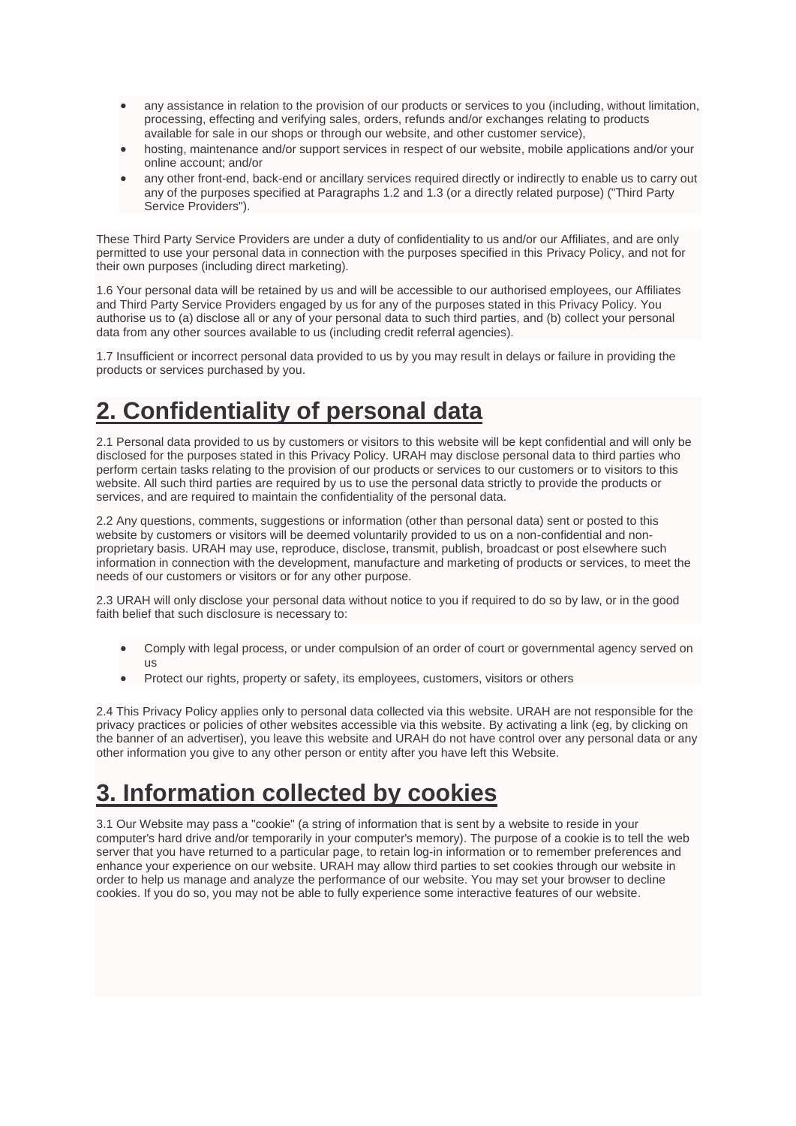- any assistance in relation to the provision of our products or services to you (including, without limitation, processing, effecting and verifying sales, orders, refunds and/or exchanges relating to products available for sale in our shops or through our website, and other customer service),
- hosting, maintenance and/or support services in respect of our website, mobile applications and/or your online account; and/or
- any other front-end, back-end or ancillary services required directly or indirectly to enable us to carry out any of the purposes specified at Paragraphs 1.2 and 1.3 (or a directly related purpose) ("Third Party Service Providers").

These Third Party Service Providers are under a duty of confidentiality to us and/or our Affiliates, and are only permitted to use your personal data in connection with the purposes specified in this Privacy Policy, and not for their own purposes (including direct marketing).

1.6 Your personal data will be retained by us and will be accessible to our authorised employees, our Affiliates and Third Party Service Providers engaged by us for any of the purposes stated in this Privacy Policy. You authorise us to (a) disclose all or any of your personal data to such third parties, and (b) collect your personal data from any other sources available to us (including credit referral agencies).

1.7 Insufficient or incorrect personal data provided to us by you may result in delays or failure in providing the products or services purchased by you.

### **2. Confidentiality of personal data**

2.1 Personal data provided to us by customers or visitors to this website will be kept confidential and will only be disclosed for the purposes stated in this Privacy Policy. URAH may disclose personal data to third parties who perform certain tasks relating to the provision of our products or services to our customers or to visitors to this website. All such third parties are required by us to use the personal data strictly to provide the products or services, and are required to maintain the confidentiality of the personal data.

2.2 Any questions, comments, suggestions or information (other than personal data) sent or posted to this website by customers or visitors will be deemed voluntarily provided to us on a non-confidential and nonproprietary basis. URAH may use, reproduce, disclose, transmit, publish, broadcast or post elsewhere such information in connection with the development, manufacture and marketing of products or services, to meet the needs of our customers or visitors or for any other purpose.

2.3 URAH will only disclose your personal data without notice to you if required to do so by law, or in the good faith belief that such disclosure is necessary to:

- Comply with legal process, or under compulsion of an order of court or governmental agency served on us
- Protect our rights, property or safety, its employees, customers, visitors or others

2.4 This Privacy Policy applies only to personal data collected via this website. URAH are not responsible for the privacy practices or policies of other websites accessible via this website. By activating a link (eg, by clicking on the banner of an advertiser), you leave this website and URAH do not have control over any personal data or any other information you give to any other person or entity after you have left this Website.

## **3. Information collected by cookies**

3.1 Our Website may pass a "cookie" (a string of information that is sent by a website to reside in your computer's hard drive and/or temporarily in your computer's memory). The purpose of a cookie is to tell the web server that you have returned to a particular page, to retain log-in information or to remember preferences and enhance your experience on our website. URAH may allow third parties to set cookies through our website in order to help us manage and analyze the performance of our website. You may set your browser to decline cookies. If you do so, you may not be able to fully experience some interactive features of our website.